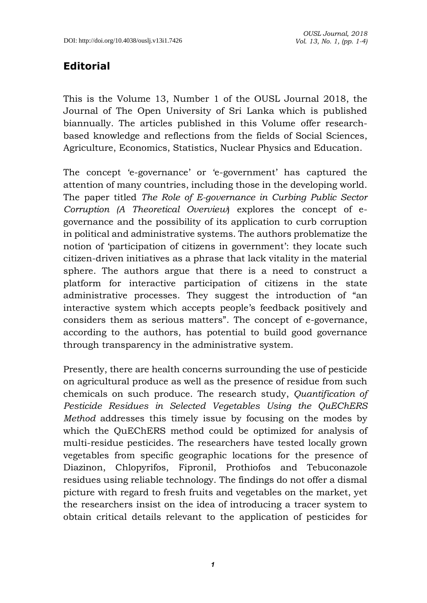## **Editorial**

This is the Volume 13, Number 1 of the OUSL Journal 2018, the Journal of The Open University of Sri Lanka which is published biannually. The articles published in this Volume offer researchbased knowledge and reflections from the fields of Social Sciences, Agriculture, Economics, Statistics, Nuclear Physics and Education.

The concept 'e-governance' or 'e-government' has captured the attention of many countries, including those in the developing world. The paper titled *The Role of E-governance in Curbing Public Sector Corruption (A Theoretical Overview*) explores the concept of egovernance and the possibility of its application to curb corruption in political and administrative systems. The authors problematize the notion of 'participation of citizens in government': they locate such citizen-driven initiatives as a phrase that lack vitality in the material sphere. The authors argue that there is a need to construct a platform for interactive participation of citizens in the state administrative processes. They suggest the introduction of "an interactive system which accepts people's feedback positively and considers them as serious matters". The concept of e-governance, according to the authors, has potential to build good governance through transparency in the administrative system.

Presently, there are health concerns surrounding the use of pesticide on agricultural produce as well as the presence of residue from such chemicals on such produce. The research study, *Quantification of Pesticide Residues in Selected Vegetables Using the QuEChERS Method* addresses this timely issue by focusing on the modes by which the QuEChERS method could be optimized for analysis of multi-residue pesticides. The researchers have tested locally grown vegetables from specific geographic locations for the presence of Diazinon, Chlopyrifos, Fipronil, Prothiofos and Tebuconazole residues using reliable technology. The findings do not offer a dismal picture with regard to fresh fruits and vegetables on the market, yet the researchers insist on the idea of introducing a tracer system to obtain critical details relevant to the application of pesticides for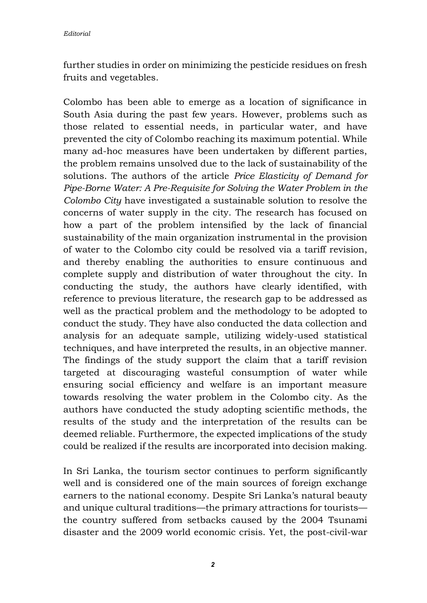further studies in order on minimizing the pesticide residues on fresh fruits and vegetables.

Colombo has been able to emerge as a location of significance in South Asia during the past few years. However, problems such as those related to essential needs, in particular water, and have prevented the city of Colombo reaching its maximum potential. While many ad-hoc measures have been undertaken by different parties, the problem remains unsolved due to the lack of sustainability of the solutions. The authors of the article *Price Elasticity of Demand for Pipe-Borne Water: A Pre-Requisite for Solving the Water Problem in the Colombo City* have investigated a sustainable solution to resolve the concerns of water supply in the city. The research has focused on how a part of the problem intensified by the lack of financial sustainability of the main organization instrumental in the provision of water to the Colombo city could be resolved via a tariff revision, and thereby enabling the authorities to ensure continuous and complete supply and distribution of water throughout the city. In conducting the study, the authors have clearly identified, with reference to previous literature, the research gap to be addressed as well as the practical problem and the methodology to be adopted to conduct the study. They have also conducted the data collection and analysis for an adequate sample, utilizing widely-used statistical techniques, and have interpreted the results, in an objective manner. The findings of the study support the claim that a tariff revision targeted at discouraging wasteful consumption of water while ensuring social efficiency and welfare is an important measure towards resolving the water problem in the Colombo city. As the authors have conducted the study adopting scientific methods, the results of the study and the interpretation of the results can be deemed reliable. Furthermore, the expected implications of the study could be realized if the results are incorporated into decision making.

In Sri Lanka, the tourism sector continues to perform significantly well and is considered one of the main sources of foreign exchange earners to the national economy. Despite Sri Lanka's natural beauty and unique cultural traditions—the primary attractions for tourists the country suffered from setbacks caused by the 2004 Tsunami disaster and the 2009 world economic crisis. Yet, the post-civil-war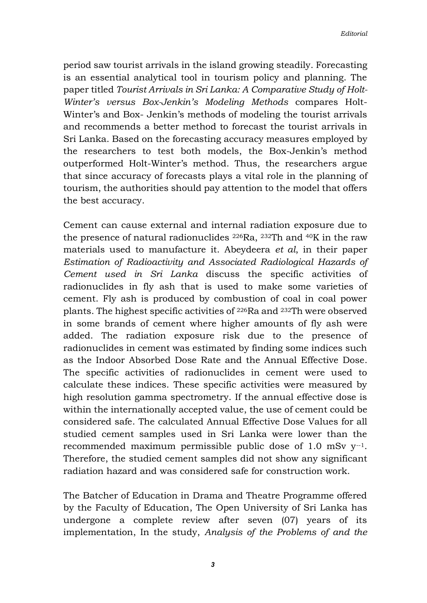period saw tourist arrivals in the island growing steadily. Forecasting is an essential analytical tool in tourism policy and planning. The paper titled *Tourist Arrivals in Sri Lanka: A Comparative Study of Holt-Winter's versus Box-Jenkin's Modeling Methods* compares Holt-Winter's and Box- Jenkin's methods of modeling the tourist arrivals and recommends a better method to forecast the tourist arrivals in Sri Lanka. Based on the forecasting accuracy measures employed by the researchers to test both models, the Box-Jenkin's method outperformed Holt-Winter's method. Thus, the researchers argue that since accuracy of forecasts plays a vital role in the planning of tourism, the authorities should pay attention to the model that offers the best accuracy.

Cement can cause external and internal radiation exposure due to the presence of natural radionuclides 226Ra, 232Th and 40K in the raw materials used to manufacture it. Abeydeera *et al*, in their paper *Estimation of Radioactivity and Associated Radiological Hazards of Cement used in Sri Lanka* discuss the specific activities of radionuclides in fly ash that is used to make some varieties of cement. Fly ash is produced by combustion of coal in coal power plants. The highest specific activities of 226Ra and 232Th were observed in some brands of cement where higher amounts of fly ash were added. The radiation exposure risk due to the presence of radionuclides in cement was estimated by finding some indices such as the Indoor Absorbed Dose Rate and the Annual Effective Dose. The specific activities of radionuclides in cement were used to calculate these indices. These specific activities were measured by high resolution gamma spectrometry. If the annual effective dose is within the internationally accepted value, the use of cement could be considered safe. The calculated Annual Effective Dose Values for all studied cement samples used in Sri Lanka were lower than the recommended maximum permissible public dose of 1.0 mSv  $y^{-1}$ . Therefore, the studied cement samples did not show any significant radiation hazard and was considered safe for construction work.

The Batcher of Education in Drama and Theatre Programme offered by the Faculty of Education, The Open University of Sri Lanka has undergone a complete review after seven (07) years of its implementation, In the study, *Analysis of the Problems of and the*